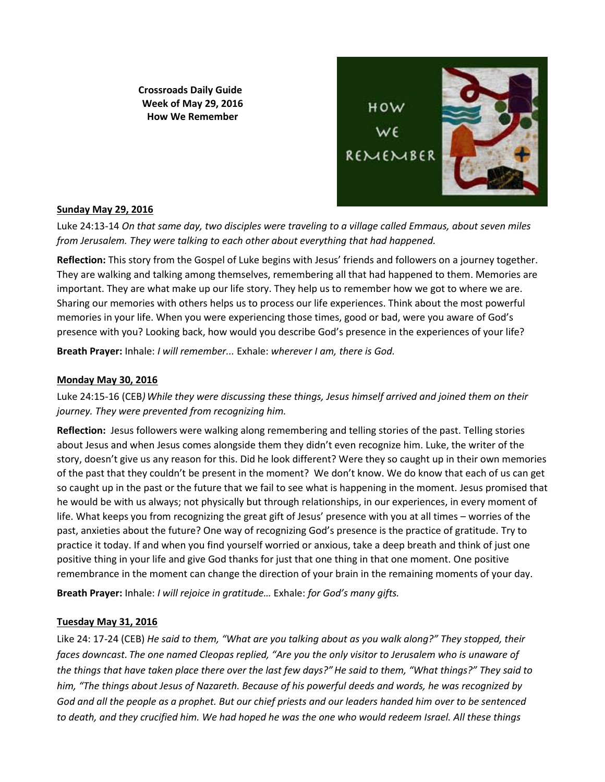**Crossroads Daily Guide Week of May 29, 2016 How We Remember**



# **Sunday May 29, 2016**

Luke 24:13-14 *On that same day, two disciples were traveling to a village called Emmaus, about seven miles from Jerusalem. They were talking to each other about everything that had happened.* 

**Reflection:** This story from the Gospel of Luke begins with Jesus' friends and followers on a journey together. They are walking and talking among themselves, remembering all that had happened to them. Memories are important. They are what make up our life story. They help us to remember how we got to where we are. Sharing our memories with others helps us to process our life experiences. Think about the most powerful memories in your life. When you were experiencing those times, good or bad, were you aware of God's presence with you? Looking back, how would you describe God's presence in the experiences of your life?

**Breath Prayer:** Inhale: *I will remember...* Exhale: *wherever I am, there is God.*

### **Monday May 30, 2016**

Luke 24:15-16 (CEB*)While they were discussing these things, Jesus himself arrived and joined them on their journey. They were prevented from recognizing him.*

**Reflection:** Jesus followers were walking along remembering and telling stories of the past. Telling stories about Jesus and when Jesus comes alongside them they didn't even recognize him. Luke, the writer of the story, doesn't give us any reason for this. Did he look different? Were they so caught up in their own memories of the past that they couldn't be present in the moment? We don't know. We do know that each of us can get so caught up in the past or the future that we fail to see what is happening in the moment. Jesus promised that he would be with us always; not physically but through relationships, in our experiences, in every moment of life. What keeps you from recognizing the great gift of Jesus' presence with you at all times – worries of the past, anxieties about the future? One way of recognizing God's presence is the practice of gratitude. Try to practice it today. If and when you find yourself worried or anxious, take a deep breath and think of just one positive thing in your life and give God thanks for just that one thing in that one moment. One positive remembrance in the moment can change the direction of your brain in the remaining moments of your day.

**Breath Prayer:** Inhale: *I will rejoice in gratitude…* Exhale: *for God's many gifts.*

# **Tuesday May 31, 2016**

Like 24: 17-24 (CEB) *He said to them, "What are you talking about as you walk along?" They stopped, their faces downcast. The one named Cleopas replied, "Are you the only visitor to Jerusalem who is unaware of the things that have taken place there over the last few days?"He said to them, "What things?" They said to him, "The things about Jesus of Nazareth. Because of his powerful deeds and words, he was recognized by God and all the people as a prophet. But our chief priests and our leaders handed him over to be sentenced to death, and they crucified him. We had hoped he was the one who would redeem Israel. All these things*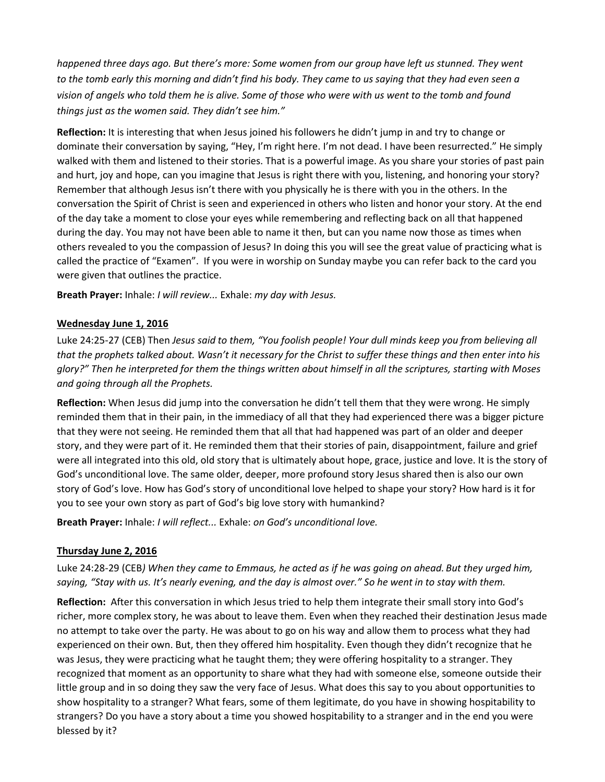*happened three days ago. But there's more: Some women from our group have left us stunned. They went to the tomb early this morning and didn't find his body. They came to us saying that they had even seen a vision of angels who told them he is alive. Some of those who were with us went to the tomb and found things just as the women said. They didn't see him."*

**Reflection:** It is interesting that when Jesus joined his followers he didn't jump in and try to change or dominate their conversation by saying, "Hey, I'm right here. I'm not dead. I have been resurrected." He simply walked with them and listened to their stories. That is a powerful image. As you share your stories of past pain and hurt, joy and hope, can you imagine that Jesus is right there with you, listening, and honoring your story? Remember that although Jesus isn't there with you physically he is there with you in the others. In the conversation the Spirit of Christ is seen and experienced in others who listen and honor your story. At the end of the day take a moment to close your eyes while remembering and reflecting back on all that happened during the day. You may not have been able to name it then, but can you name now those as times when others revealed to you the compassion of Jesus? In doing this you will see the great value of practicing what is called the practice of "Examen". If you were in worship on Sunday maybe you can refer back to the card you were given that outlines the practice.

**Breath Prayer:** Inhale: *I will review...* Exhale: *my day with Jesus.*

### **Wednesday June 1, 2016**

Luke 24:25-27 (CEB) Then *Jesus said to them, "You foolish people! Your dull minds keep you from believing all that the prophets talked about. Wasn't it necessary for the Christ to suffer these things and then enter into his glory?" Then he interpreted for them the things written about himself in all the scriptures, starting with Moses and going through all the Prophets.*

**Reflection:** When Jesus did jump into the conversation he didn't tell them that they were wrong. He simply reminded them that in their pain, in the immediacy of all that they had experienced there was a bigger picture that they were not seeing. He reminded them that all that had happened was part of an older and deeper story, and they were part of it. He reminded them that their stories of pain, disappointment, failure and grief were all integrated into this old, old story that is ultimately about hope, grace, justice and love. It is the story of God's unconditional love. The same older, deeper, more profound story Jesus shared then is also our own story of God's love. How has God's story of unconditional love helped to shape your story? How hard is it for you to see your own story as part of God's big love story with humankind?

**Breath Prayer:** Inhale: *I will reflect...* Exhale: *on God's unconditional love.*

# **Thursday June 2, 2016**

Luke 24:28-29 (CEB*) When they came to Emmaus, he acted as if he was going on ahead. But they urged him, saying, "Stay with us. It's nearly evening, and the day is almost over." So he went in to stay with them.* 

**Reflection:** After this conversation in which Jesus tried to help them integrate their small story into God's richer, more complex story, he was about to leave them. Even when they reached their destination Jesus made no attempt to take over the party. He was about to go on his way and allow them to process what they had experienced on their own. But, then they offered him hospitality. Even though they didn't recognize that he was Jesus, they were practicing what he taught them; they were offering hospitality to a stranger. They recognized that moment as an opportunity to share what they had with someone else, someone outside their little group and in so doing they saw the very face of Jesus. What does this say to you about opportunities to show hospitality to a stranger? What fears, some of them legitimate, do you have in showing hospitability to strangers? Do you have a story about a time you showed hospitability to a stranger and in the end you were blessed by it?